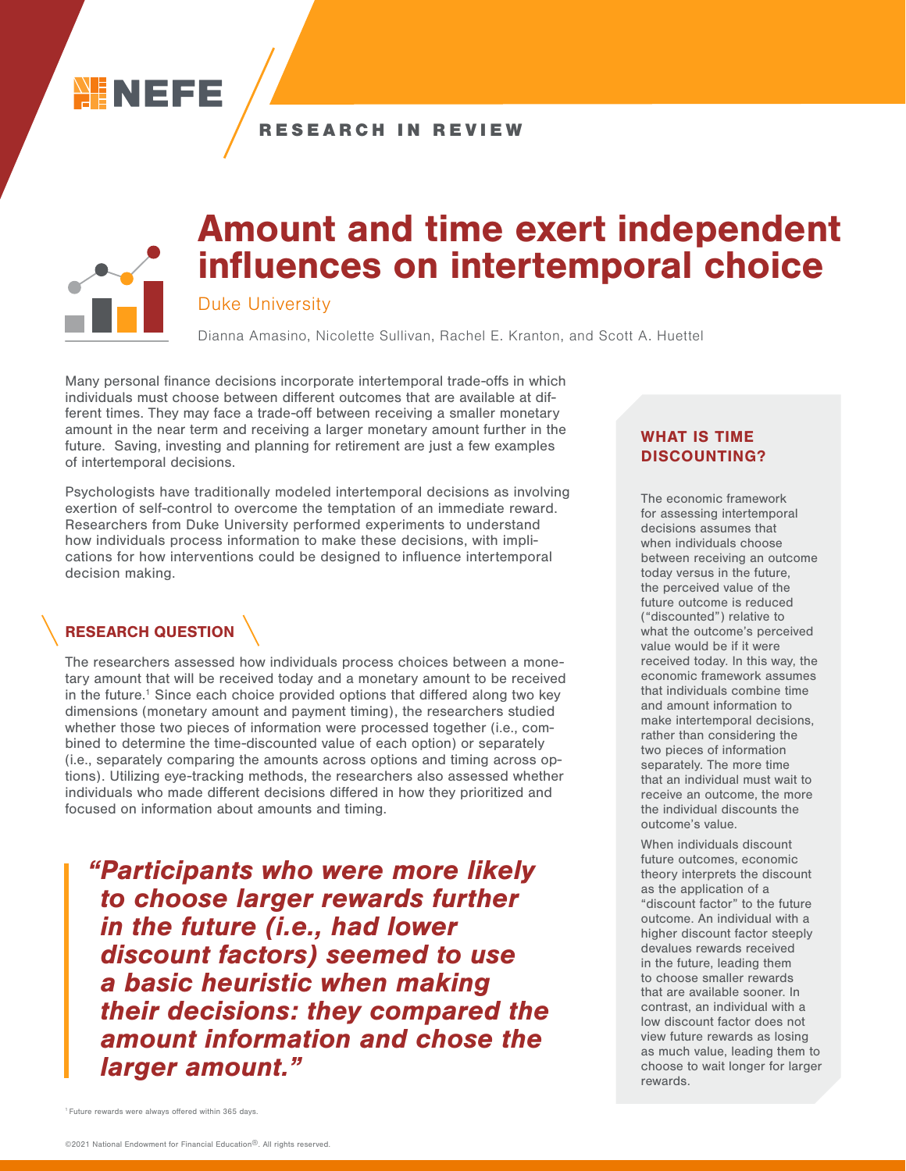

### RESEARCH IN REVIEW



# Amount and time exert independent influences on intertemporal choice

### Duke University

Dianna Amasino, Nicolette Sullivan, Rachel E. Kranton, and Scott A. Huettel

Many personal finance decisions incorporate intertemporal trade-offs in which individuals must choose between different outcomes that are available at different times. They may face a trade-off between receiving a smaller monetary amount in the near term and receiving a larger monetary amount further in the future. Saving, investing and planning for retirement are just a few examples of intertemporal decisions.

Psychologists have traditionally modeled intertemporal decisions as involving exertion of self-control to overcome the temptation of an immediate reward. Researchers from Duke University performed experiments to understand how individuals process information to make these decisions, with implications for how interventions could be designed to influence intertemporal decision making.

## RESEARCH QUESTION

The researchers assessed how individuals process choices between a monetary amount that will be received today and a monetary amount to be received in the future.<sup>1</sup> Since each choice provided options that differed along two key dimensions (monetary amount and payment timing), the researchers studied whether those two pieces of information were processed together (i.e., combined to determine the time-discounted value of each option) or separately (i.e., separately comparing the amounts across options and timing across options). Utilizing eye-tracking methods, the researchers also assessed whether individuals who made different decisions differed in how they prioritized and focused on information about amounts and timing.

"Participants who were more likely to choose larger rewards further in the future (i.e., had lower discount factors) seemed to use a basic heuristic when making their decisions: they compared the amount information and chose the larger amount."

### WHAT IS TIME DISCOUNTING?

The economic framework for assessing intertemporal decisions assumes that when individuals choose between receiving an outcome today versus in the future, the perceived value of the future outcome is reduced ("discounted") relative to what the outcome's perceived value would be if it were received today. In this way, the economic framework assumes that individuals combine time and amount information to make intertemporal decisions, rather than considering the two pieces of information separately. The more time that an individual must wait to receive an outcome, the more the individual discounts the outcome's value.

When individuals discount future outcomes, economic theory interprets the discount as the application of a "discount factor" to the future outcome. An individual with a higher discount factor steeply devalues rewards received in the future, leading them to choose smaller rewards that are available sooner. In contrast, an individual with a low discount factor does not view future rewards as losing as much value, leading them to choose to wait longer for larger rewards.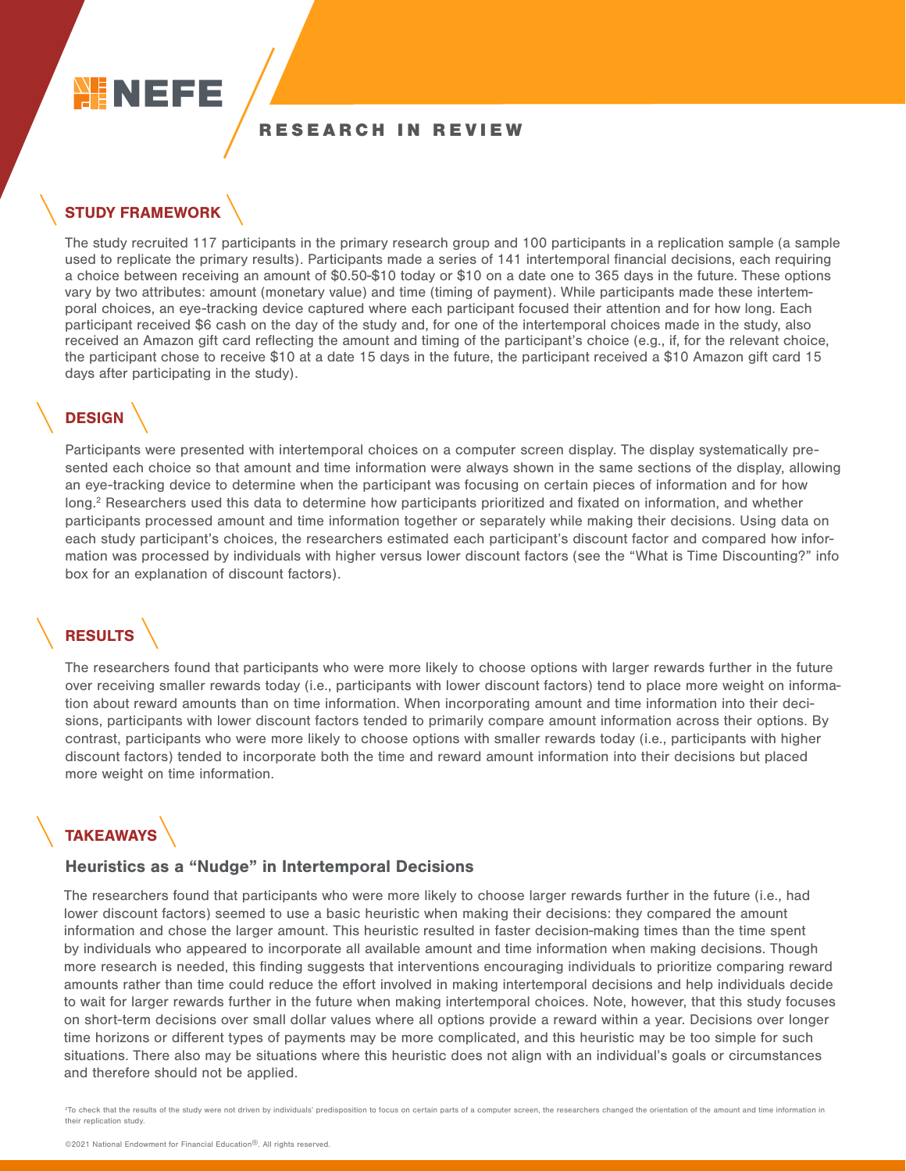

### RESEARCH IN REVIEW

# STUDY FRAMEWORK

The study recruited 117 participants in the primary research group and 100 participants in a replication sample (a sample used to replicate the primary results). Participants made a series of 141 intertemporal financial decisions, each requiring a choice between receiving an amount of \$0.50-\$10 today or \$10 on a date one to 365 days in the future. These options vary by two attributes: amount (monetary value) and time (timing of payment). While participants made these intertemporal choices, an eye-tracking device captured where each participant focused their attention and for how long. Each participant received \$6 cash on the day of the study and, for one of the intertemporal choices made in the study, also received an Amazon gift card reflecting the amount and timing of the participant's choice (e.g., if, for the relevant choice, the participant chose to receive \$10 at a date 15 days in the future, the participant received a \$10 Amazon gift card 15 days after participating in the study).

## **DESIGN**

Participants were presented with intertemporal choices on a computer screen display. The display systematically presented each choice so that amount and time information were always shown in the same sections of the display, allowing an eye-tracking device to determine when the participant was focusing on certain pieces of information and for how long.<sup>2</sup> Researchers used this data to determine how participants prioritized and fixated on information, and whether participants processed amount and time information together or separately while making their decisions. Using data on each study participant's choices, the researchers estimated each participant's discount factor and compared how information was processed by individuals with higher versus lower discount factors (see the "What is Time Discounting?" info box for an explanation of discount factors).

# **RESULTS**

The researchers found that participants who were more likely to choose options with larger rewards further in the future over receiving smaller rewards today (i.e., participants with lower discount factors) tend to place more weight on information about reward amounts than on time information. When incorporating amount and time information into their decisions, participants with lower discount factors tended to primarily compare amount information across their options. By contrast, participants who were more likely to choose options with smaller rewards today (i.e., participants with higher discount factors) tended to incorporate both the time and reward amount information into their decisions but placed more weight on time information.

# **TAKEAWAYS**

#### Heuristics as a "Nudge" in Intertemporal Decisions

The researchers found that participants who were more likely to choose larger rewards further in the future (i.e., had lower discount factors) seemed to use a basic heuristic when making their decisions: they compared the amount information and chose the larger amount. This heuristic resulted in faster decision-making times than the time spent by individuals who appeared to incorporate all available amount and time information when making decisions. Though more research is needed, this finding suggests that interventions encouraging individuals to prioritize comparing reward amounts rather than time could reduce the effort involved in making intertemporal decisions and help individuals decide to wait for larger rewards further in the future when making intertemporal choices. Note, however, that this study focuses on short-term decisions over small dollar values where all options provide a reward within a year. Decisions over longer time horizons or different types of payments may be more complicated, and this heuristic may be too simple for such situations. There also may be situations where this heuristic does not align with an individual's goals or circumstances and therefore should not be applied.

<sup>2</sup>To check that the results of the study were not driven by individuals' predisposition to focus on certain parts of a computer screen, the researchers changed the orientation of the amount and time information in their replication study.